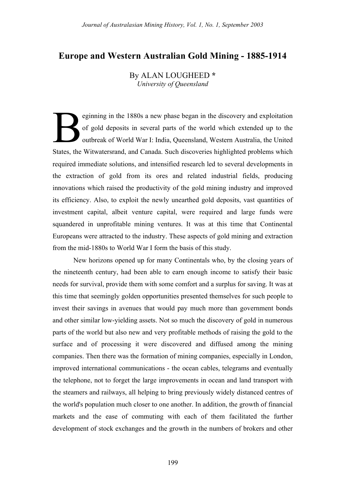# **Europe and Western Australian Gold Mining - 1885-1914**

By ALAN LOUGHEED **\*** *University of Queensland*

eginning in the 1880s a new phase began in the discovery and exploitation of gold deposits in several parts of the world which extended up to the outbreak of World War I: India, Queensland, Western Australia, the United States, the Witwatersrand, and Canada. Such discoveries highlighted problems which required immediate solutions, and intensified research led to several developments in the extraction of gold from its ores and related industrial fields, producing innovations which raised the productivity of the gold mining industry and improved its efficiency. Also, to exploit the newly unearthed gold deposits, vast quantities of investment capital, albeit venture capital, were required and large funds were squandered in unprofitable mining ventures. It was at this time that Continental Europeans were attracted to the industry. These aspects of gold mining and extraction from the mid-1880s to World War I form the basis of this study. B

New horizons opened up for many Continentals who, by the closing years of the nineteenth century, had been able to earn enough income to satisfy their basic needs for survival, provide them with some comfort and a surplus for saving. It was at this time that seemingly golden opportunities presented themselves for such people to invest their savings in avenues that would pay much more than government bonds and other similar low-yielding assets. Not so much the discovery of gold in numerous parts of the world but also new and very profitable methods of raising the gold to the surface and of processing it were discovered and diffused among the mining companies. Then there was the formation of mining companies, especially in London, improved international communications - the ocean cables, telegrams and eventually the telephone, not to forget the large improvements in ocean and land transport with the steamers and railways, all helping to bring previously widely distanced centres of the world's population much closer to one another. In addition, the growth of financial markets and the ease of commuting with each of them facilitated the further development of stock exchanges and the growth in the numbers of brokers and other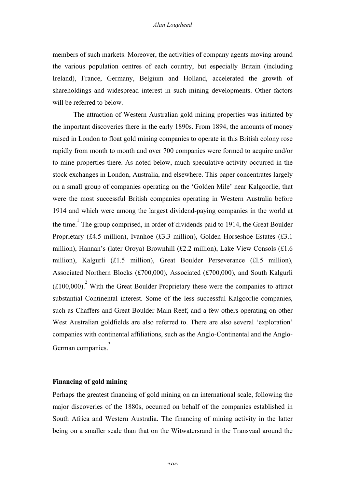members of such markets. Moreover, the activities of company agents moving around the various population centres of each country, but especially Britain (including Ireland), France, Germany, Belgium and Holland, accelerated the growth of shareholdings and widespread interest in such mining developments. Other factors will be referred to below.

The attraction of Western Australian gold mining properties was initiated by the important discoveries there in the early 1890s. From 1894, the amounts of money raised in London to float gold mining companies to operate in this British colony rose rapidly from month to month and over 700 companies were formed to acquire and/or to mine properties there. As noted below, much speculative activity occurred in the stock exchanges in London, Australia, and elsewhere. This paper concentrates largely on a small group of companies operating on the 'Golden Mile' near Kalgoorlie, that were the most successful British companies operating in Western Australia before 1914 and which were among the largest dividend-paying companies in the world at the time.<sup>1</sup> The group comprised, in order of dividends paid to 1914, the Great Boulder Proprietary (£4.5 million), Ivanhoe (£3.3 million), Golden Horseshoe Estates (£3.1 million), Hannan's (later Oroya) Brownhill (£2.2 million), Lake View Consols (£1.6 million), Kalgurli (£1.5 million), Great Boulder Perseverance (£l.5 million), Associated Northern Blocks (£700,000), Associated (£700,000), and South Kalgurli  $(£100,000)<sup>2</sup>$  With the Great Boulder Proprietary these were the companies to attract substantial Continental interest. Some of the less successful Kalgoorlie companies, such as Chaffers and Great Boulder Main Reef, and a few others operating on other West Australian goldfields are also referred to. There are also several 'exploration' companies with continental affiliations, such as the Anglo-Continental and the Anglo-German companies.<sup>3</sup>

# **Financing of gold mining**

Perhaps the greatest financing of gold mining on an international scale, following the major discoveries of the 1880s, occurred on behalf of the companies established in South Africa and Western Australia. The financing of mining activity in the latter being on a smaller scale than that on the Witwatersrand in the Transvaal around the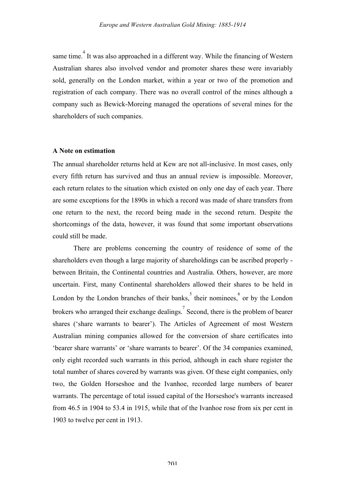same time.<sup>4</sup> It was also approached in a different way. While the financing of Western Australian shares also involved vendor and promoter shares these were invariably sold, generally on the London market, within a year or two of the promotion and registration of each company. There was no overall control of the mines although a company such as Bewick-Moreing managed the operations of several mines for the shareholders of such companies.

## **A Note on estimation**

The annual shareholder returns held at Kew are not all-inclusive. In most cases, only every fifth return has survived and thus an annual review is impossible. Moreover, each return relates to the situation which existed on only one day of each year. There are some exceptions for the 1890s in which a record was made of share transfers from one return to the next, the record being made in the second return. Despite the shortcomings of the data, however, it was found that some important observations could still be made.

There are problems concerning the country of residence of some of the shareholders even though a large majority of shareholdings can be ascribed properly between Britain, the Continental countries and Australia. Others, however, are more uncertain. First, many Continental shareholders allowed their shares to be held in London by the London branches of their banks,  $\int_{0}^{5}$  their nominees,  $\int_{0}^{6}$  or by the London brokers who arranged their exchange dealings.<sup>7</sup> Second, there is the problem of bearer shares ('share warrants to bearer'). The Articles of Agreement of most Western Australian mining companies allowed for the conversion of share certificates into 'bearer share warrants' or 'share warrants to bearer'. Of the 34 companies examined, only eight recorded such warrants in this period, although in each share register the total number of shares covered by warrants was given. Of these eight companies, only two, the Golden Horseshoe and the Ivanhoe, recorded large numbers of bearer warrants. The percentage of total issued capital of the Horseshoe's warrants increased from 46.5 in 1904 to 53.4 in 1915, while that of the Ivanhoe rose from six per cent in 1903 to twelve per cent in 1913.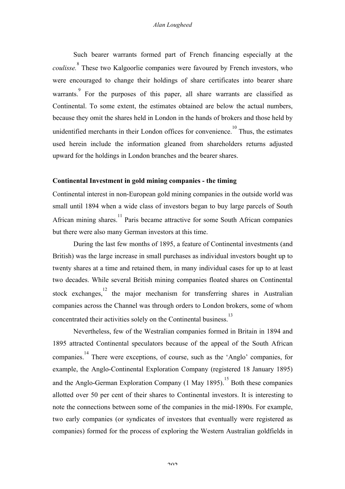Such bearer warrants formed part of French financing especially at the *coulisse.*<sup>8</sup> These two Kalgoorlie companies were favoured by French investors, who were encouraged to change their holdings of share certificates into bearer share warrants. For the purposes of this paper, all share warrants are classified as Continental. To some extent, the estimates obtained are below the actual numbers, because they omit the shares held in London in the hands of brokers and those held by unidentified merchants in their London offices for convenience.<sup>10</sup> Thus, the estimates used herein include the information gleaned from shareholders returns adjusted upward for the holdings in London branches and the bearer shares.

### **Continental Investment in gold mining companies - the timing**

Continental interest in non-European gold mining companies in the outside world was small until 1894 when a wide class of investors began to buy large parcels of South African mining shares.<sup>11</sup> Paris became attractive for some South African companies but there were also many German investors at this time.

During the last few months of 1895, a feature of Continental investments (and British) was the large increase in small purchases as individual investors bought up to twenty shares at a time and retained them, in many individual cases for up to at least two decades. While several British mining companies floated shares on Continental stock exchanges,  $12$  the major mechanism for transferring shares in Australian companies across the Channel was through orders to London brokers, some of whom concentrated their activities solely on the Continental business. 13

Nevertheless, few of the Westralian companies formed in Britain in 1894 and 1895 attracted Continental speculators because of the appeal of the South African companies. 14 There were exceptions, of course, such as the 'Anglo' companies, for example, the Anglo-Continental Exploration Company (registered 18 January 1895) and the Anglo-German Exploration Company  $(1 \text{ May } 1895)$ .<sup>15</sup> Both these companies allotted over 50 per cent of their shares to Continental investors. It is interesting to note the connections between some of the companies in the mid-1890s. For example, two early companies (or syndicates of investors that eventually were registered as companies) formed for the process of exploring the Western Australian goldfields in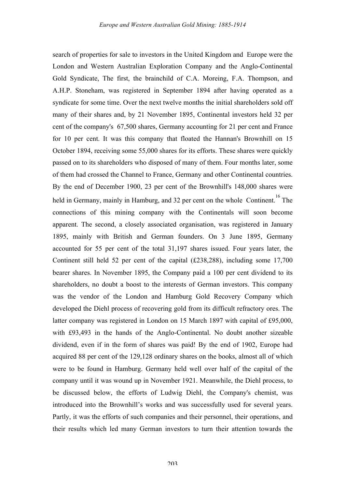search of properties for sale to investors in the United Kingdom and Europe were the London and Western Australian Exploration Company and the Anglo-Continental Gold Syndicate, The first, the brainchild of C.A. Moreing, F.A. Thompson, and A.H.P. Stoneham, was registered in September 1894 after having operated as a syndicate for some time. Over the next twelve months the initial shareholders sold off many of their shares and, by 21 November 1895, Continental investors held 32 per cent of the company's 67,500 shares, Germany accounting for 21 per cent and France for 10 per cent. It was this company that floated the Hannan's Brownhill on 15 October 1894, receiving some 55,000 shares for its efforts. These shares were quickly passed on to its shareholders who disposed of many of them. Four months later, some of them had crossed the Channel to France, Germany and other Continental countries. By the end of December 1900, 23 per cent of the Brownhill's 148,000 shares were held in Germany, mainly in Hamburg, and 32 per cent on the whole Continent.<sup>16</sup> The connections of this mining company with the Continentals will soon become apparent. The second, a closely associated organisation, was registered in January 1895, mainly with British and German founders. On 3 June 1895, Germany accounted for 55 per cent of the total 31,197 shares issued. Four years later, the Continent still held 52 per cent of the capital (£238,288), including some 17,700 bearer shares. In November 1895, the Company paid a 100 per cent dividend to its shareholders, no doubt a boost to the interests of German investors. This company was the vendor of the London and Hamburg Gold Recovery Company which developed the Diehl process of recovering gold from its difficult refractory ores. The latter company was registered in London on 15 March 1897 with capital of £95,000, with £93,493 in the hands of the Anglo-Continental. No doubt another sizeable dividend, even if in the form of shares was paid! By the end of 1902, Europe had acquired 88 per cent of the 129,128 ordinary shares on the books, almost all of which were to be found in Hamburg. Germany held well over half of the capital of the company until it was wound up in November 1921. Meanwhile, the Diehl process, to be discussed below, the efforts of Ludwig Diehl, the Company's chemist, was introduced into the Brownhill's works and was successfully used for several years. Partly, it was the efforts of such companies and their personnel, their operations, and their results which led many German investors to turn their attention towards the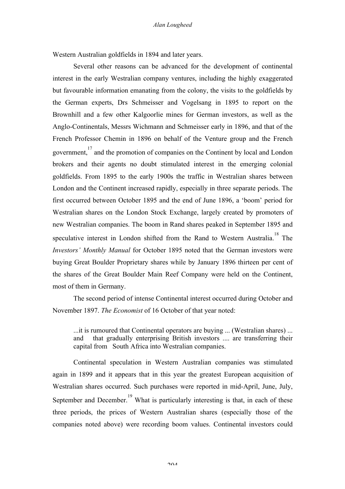Western Australian goldfields in 1894 and later years.

Several other reasons can be advanced for the development of continental interest in the early Westralian company ventures, including the highly exaggerated but favourable information emanating from the colony, the visits to the goldfields by the German experts, Drs Schmeisser and Vogelsang in 1895 to report on the Brownhill and a few other Kalgoorlie mines for German investors, as well as the Anglo-Continentals, Messrs Wichmann and Schmeisser early in 1896, and that of the French Professor Chemin in 1896 on behalf of the Venture group and the French government, 17 and the promotion of companies on the Continent by local and London brokers and their agents no doubt stimulated interest in the emerging colonial goldfields. From 1895 to the early 1900s the traffic in Westralian shares between London and the Continent increased rapidly, especially in three separate periods. The first occurred between October 1895 and the end of June 1896, a 'boom' period for Westralian shares on the London Stock Exchange, largely created by promoters of new Westralian companies. The boom in Rand shares peaked in September 1895 and speculative interest in London shifted from the Rand to Western Australia.<sup>18</sup> The *Investors' Monthly Manual* for October 1895 noted that the German investors were buying Great Boulder Proprietary shares while by January 1896 thirteen per cent of the shares of the Great Boulder Main Reef Company were held on the Continent, most of them in Germany.

The second period of intense Continental interest occurred during October and November 1897. *The Economist* of 16 October of that year noted:

...it is rumoured that Continental operators are buying ... (Westralian shares) ... and that gradually enterprising British investors .... are transferring their capital from South Africa into Westralian companies.

Continental speculation in Western Australian companies was stimulated again in 1899 and it appears that in this year the greatest European acquisition of Westralian shares occurred. Such purchases were reported in mid-April, June, July, September and December.<sup>19</sup> What is particularly interesting is that, in each of these three periods, the prices of Western Australian shares (especially those of the companies noted above) were recording boom values. Continental investors could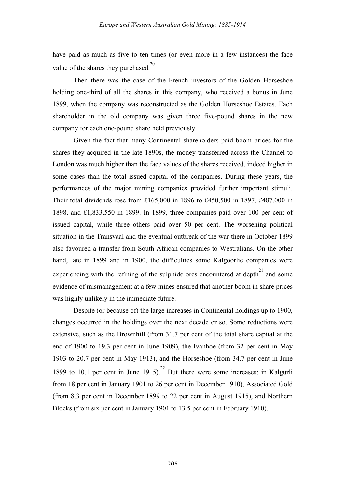have paid as much as five to ten times (or even more in a few instances) the face value of the shares they purchased. $^{20}$ 

Then there was the case of the French investors of the Golden Horseshoe holding one-third of all the shares in this company, who received a bonus in June 1899, when the company was reconstructed as the Golden Horseshoe Estates. Each shareholder in the old company was given three five-pound shares in the new company for each one-pound share held previously.

Given the fact that many Continental shareholders paid boom prices for the shares they acquired in the late 1890s, the money transferred across the Channel to London was much higher than the face values of the shares received, indeed higher in some cases than the total issued capital of the companies. During these years, the performances of the major mining companies provided further important stimuli. Their total dividends rose from £165,000 in 1896 to £450,500 in 1897, £487,000 in 1898, and £1,833,550 in 1899. In 1899, three companies paid over 100 per cent of issued capital, while three others paid over 50 per cent. The worsening political situation in the Transvaal and the eventual outbreak of the war there in October 1899 also favoured a transfer from South African companies to Westralians. On the other hand, late in 1899 and in 1900, the difficulties some Kalgoorlie companies were experiencing with the refining of the sulphide ores encountered at depth $^{21}$  and some evidence of mismanagement at a few mines ensured that another boom in share prices was highly unlikely in the immediate future.

Despite (or because of) the large increases in Continental holdings up to 1900, changes occurred in the holdings over the next decade or so. Some reductions were extensive, such as the Brownhill (from 31.7 per cent of the total share capital at the end of 1900 to 19.3 per cent in June 1909), the Ivanhoe (from 32 per cent in May 1903 to 20.7 per cent in May 1913), and the Horseshoe (from 34.7 per cent in June 1899 to 10.1 per cent in June 1915). <sup>22</sup> But there were some increases: in Kalgurli from 18 per cent in January 1901 to 26 per cent in December 1910), Associated Gold (from 8.3 per cent in December 1899 to 22 per cent in August 1915), and Northern Blocks (from six per cent in January 1901 to 13.5 per cent in February 1910).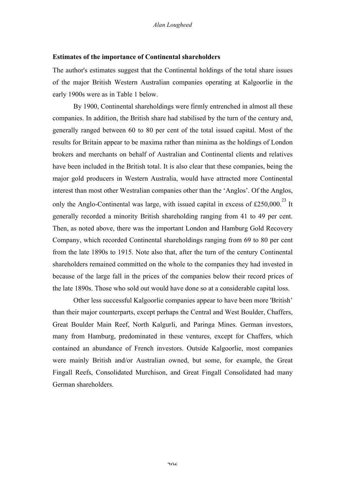### **Estimates of the importance of Continental shareholders**

The author's estimates suggest that the Continental holdings of the total share issues of the major British Western Australian companies operating at Kalgoorlie in the early 1900s were as in Table 1 below.

By 1900, Continental shareholdings were firmly entrenched in almost all these companies. In addition, the British share had stabilised by the turn of the century and, generally ranged between 60 to 80 per cent of the total issued capital. Most of the results for Britain appear to be maxima rather than minima as the holdings of London brokers and merchants on behalf of Australian and Continental clients and relatives have been included in the British total. It is also clear that these companies, being the major gold producers in Western Australia, would have attracted more Continental interest than most other Westralian companies other than the 'Anglos'. Of the Anglos, only the Anglo-Continental was large, with issued capital in excess of £250,000.<sup>23</sup> It generally recorded a minority British shareholding ranging from 41 to 49 per cent. Then, as noted above, there was the important London and Hamburg Gold Recovery Company, which recorded Continental shareholdings ranging from 69 to 80 per cent from the late 1890s to 1915. Note also that, after the turn of the century Continental shareholders remained committed on the whole to the companies they had invested in because of the large fall in the prices of the companies below their record prices of the late 1890s. Those who sold out would have done so at a considerable capital loss.

Other less successful Kalgoorlie companies appear to have been more 'British' than their major counterparts, except perhaps the Central and West Boulder, Chaffers, Great Boulder Main Reef, North Kalgurli, and Paringa Mines. German investors, many from Hamburg, predominated in these ventures, except for Chaffers, which contained an abundance of French investors. Outside Kalgoorlie, most companies were mainly British and/or Australian owned, but some, for example, the Great Fingall Reefs, Consolidated Murchison, and Great Fingall Consolidated had many German shareholders.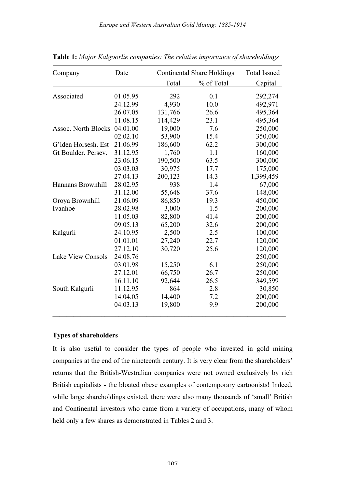*Europe and Western Australian Gold Mining: 1885-1914*

| Company                  | Date     |         | <b>Continental Share Holdings</b> |           |  |
|--------------------------|----------|---------|-----------------------------------|-----------|--|
|                          |          | Total   | % of Total                        | Capital   |  |
| Associated               | 01.05.95 | 292     | 0.1                               | 292,274   |  |
|                          | 24.12.99 | 4,930   | 10.0                              | 492,971   |  |
|                          | 26.07.05 | 131,766 | 26.6                              | 495,364   |  |
|                          | 11.08.15 | 114,429 | 23.1                              | 495,364   |  |
| Assoc. North Blocks      | 04.01.00 | 19,000  | 7.6                               | 250,000   |  |
|                          | 02.02.10 | 53,900  | 15.4                              | 350,000   |  |
| G'lden Horsesh. Est      | 21.06.99 | 186,600 | 62.2                              | 300,000   |  |
| Gt Boulder. Persev.      | 31.12.95 | 1,760   | 1.1                               | 160,000   |  |
|                          | 23.06.15 | 190,500 | 63.5                              | 300,000   |  |
|                          | 03.03.03 | 30,975  | 17.7                              | 175,000   |  |
|                          | 27.04.13 | 200,123 | 14.3                              | 1,399,459 |  |
| Hannans Brownhill        | 28.02.95 | 938     | 1.4                               | 67,000    |  |
|                          | 31.12.00 | 55,648  | 37.6                              | 148,000   |  |
| Oroya Brownhill          | 21.06.09 | 86,850  | 19.3                              | 450,000   |  |
| Ivanhoe                  | 28.02.98 | 3,000   | 1.5                               | 200,000   |  |
|                          | 11.05.03 | 82,800  | 41.4                              | 200,000   |  |
|                          | 09.05.13 | 65,200  | 32.6                              | 200,000   |  |
| Kalgurli                 | 24.10.95 | 2,500   | 2.5                               | 100,000   |  |
|                          | 01.01.01 | 27,240  | 22.7                              | 120,000   |  |
|                          | 27.12.10 | 30,720  | 25.6                              | 120,000   |  |
| <b>Lake View Consols</b> | 24.08.76 |         |                                   | 250,000   |  |
|                          | 03.01.98 | 15,250  | 6.1                               | 250,000   |  |
|                          | 27.12.01 | 66,750  | 26.7                              | 250,000   |  |
|                          | 16.11.10 | 92,644  | 26.5                              | 349,599   |  |
| South Kalgurli           | 11.12.95 | 864     | 2.8                               | 30,850    |  |
|                          | 14.04.05 | 14,400  | 7.2                               | 200,000   |  |
|                          | 04.03.13 | 19,800  | 9.9                               | 200,000   |  |

**Table 1:** *Major Kalgoorlie companies: The relative importance of shareholdings*

# **Types of shareholders**

It is also useful to consider the types of people who invested in gold mining companies at the end of the nineteenth century. It is very clear from the shareholders' returns that the British-Westralian companies were not owned exclusively by rich British capitalists - the bloated obese examples of contemporary cartoonists! Indeed, while large shareholdings existed, there were also many thousands of 'small' British and Continental investors who came from a variety of occupations, many of whom held only a few shares as demonstrated in Tables 2 and 3.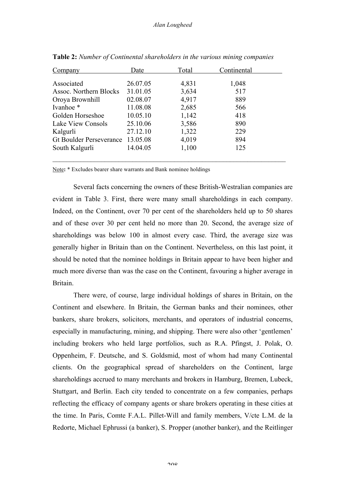| Company                        | Date     | Total | Continental |  |
|--------------------------------|----------|-------|-------------|--|
| Associated                     | 26.07.05 | 4,831 | 1,048       |  |
| Assoc. Northern Blocks         | 31.01.05 | 3,634 | 517         |  |
| Oroya Brownhill                | 02.08.07 | 4,917 | 889         |  |
| Ivanhoe <sup>*</sup>           | 11.08.08 | 2,685 | 566         |  |
| Golden Horseshoe               | 10.05.10 | 1,142 | 418         |  |
| Lake View Consols              | 25.10.06 | 3,586 | 890         |  |
| Kalgurli                       | 27.12.10 | 1,322 | 229         |  |
| <b>Gt Boulder Perseverance</b> | 13.05.08 | 4,019 | 894         |  |
| South Kalgurli                 | 14.04.05 | 1,100 | 125         |  |
|                                |          |       |             |  |

**Table 2:** *Number of Continental shareholders in the various mining companies*

Note**:** \* Excludes bearer share warrants and Bank nominee holdings

Several facts concerning the owners of these British-Westralian companies are evident in Table 3. First, there were many small shareholdings in each company. Indeed, on the Continent, over 70 per cent of the shareholders held up to 50 shares and of these over 30 per cent held no more than 20. Second, the average size of shareholdings was below 100 in almost every case. Third, the average size was generally higher in Britain than on the Continent. Nevertheless, on this last point, it should be noted that the nominee holdings in Britain appear to have been higher and much more diverse than was the case on the Continent, favouring a higher average in Britain.

There were, of course, large individual holdings of shares in Britain, on the Continent and elsewhere. In Britain, the German banks and their nominees, other bankers, share brokers, solicitors, merchants, and operators of industrial concerns, especially in manufacturing, mining, and shipping. There were also other 'gentlemen' including brokers who held large portfolios, such as R.A. Pfingst, J. Polak, O. Oppenheim, F. Deutsche, and S. Goldsmid, most of whom had many Continental clients. On the geographical spread of shareholders on the Continent, large shareholdings accrued to many merchants and brokers in Hamburg, Bremen, Lubeck, Stuttgart, and Berlin. Each city tended to concentrate on a few companies, perhaps reflecting the efficacy of company agents or share brokers operating in these cities at the time. In Paris, Comte F.A.L. Pillet-Will and family members, V/cte L.M. de la Redorte, Michael Ephrussi (a banker), S. Propper (another banker), and the Reitlinger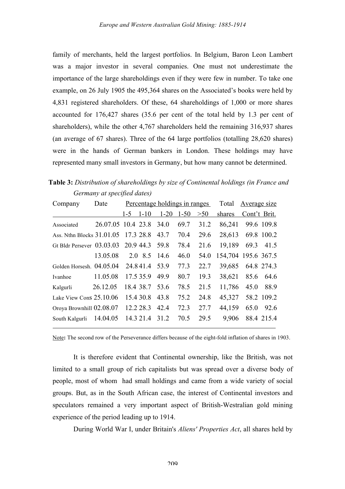family of merchants, held the largest portfolios. In Belgium, Baron Leon Lambert was a major investor in several companies. One must not underestimate the importance of the large shareholdings even if they were few in number. To take one example, on 26 July 1905 the 495,364 shares on the Associated's books were held by 4,831 registered shareholders. Of these, 64 shareholdings of 1,000 or more shares accounted for 176,427 shares (35.6 per cent of the total held by 1.3 per cent of shareholders), while the other 4,767 shareholders held the remaining 316,937 shares (an average of 67 shares). Three of the 64 large portfolios (totalling 28,620 shares) were in the hands of German bankers in London. These holdings may have represented many small investors in Germany, but how many cannot be determined.

**Table 3:** *Distribution of shareholdings by size of Continental holdings (in France and Germany at specified dates)*

| Company                             | Date               | Percentage holdings in ranges |               |          | Total    | Average size |                     |              |            |
|-------------------------------------|--------------------|-------------------------------|---------------|----------|----------|--------------|---------------------|--------------|------------|
|                                     |                    | $1-5$                         | $1 - 10$      | $1 - 20$ | $1 - 50$ | >50          | shares              | Cont't Brit. |            |
| Associated                          | 26.07.05 10.4 23.8 |                               |               | 34.0     | 69.7     | 31.2         | 86,241              |              | 99.6 109.8 |
| Ass. Nthn Blocks 31.01.05 17.3 28.8 |                    |                               |               | 43.7     | 70.4     | 29.6         | 28,613              |              | 69.8 100.2 |
| Gt Bldr Persever 03.03.03           |                    |                               | 20.9 44.3     | 59.8     | 78.4     | 21.6         | 19,189              |              | 69.3 41.5  |
|                                     | 13.05.08           |                               | 2.0 8.5 14.6  |          | 46.0     | 54.0         | 154,704 195.6 367.5 |              |            |
| Golden Horsesh. 04.05.04            |                    |                               | 24.841.4 53.9 |          | 77.3     | 22.7         | 39,685              |              | 64.8 274.3 |
| Ivanhoe                             | 11.05.08           |                               | 17.5 35.9     | 49.9     | 80.7     | 19.3         | 38,621              | 85.6         | 64.6       |
| Kalgurli                            | 26.12.05           |                               | 18.4 38.7     | 53.6     | 78.5     | 21.5         | 11,786              | 45.0         | 88.9       |
| Lake View Cons 25.10.06             |                    |                               | 15.4 30.8     | 43.8     | 75.2     | 24.8         | 45,327              |              | 58.2 109.2 |
| Oroya Brownhill 02.08.07            |                    |                               | 12.2 28.3     | 42.4     | 72.3     | 27.7         | 44,159              | 65.0         | 92.6       |
| South Kalgurli                      | 14.04.05           |                               | 14.3 21.4     | 31.2     | 70.5     | 29.5         | 9.906               |              | 88.4 215.4 |

Note**:** The second row of the Perseverance differs because of the eight-fold inflation of shares in 1903.

It is therefore evident that Continental ownership, like the British, was not limited to a small group of rich capitalists but was spread over a diverse body of people, most of whom had small holdings and came from a wide variety of social groups. But, as in the South African case, the interest of Continental investors and speculators remained a very important aspect of British-Westralian gold mining experience of the period leading up to 1914.

During World War I, under Britain's *Aliens' Properties Act*, all shares held by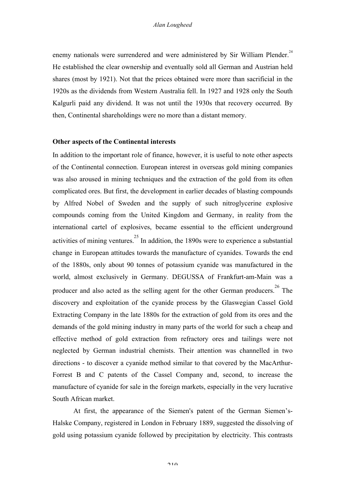enemy nationals were surrendered and were administered by Sir William Plender.<sup>24</sup> He established the clear ownership and eventually sold all German and Austrian held shares (most by 1921). Not that the prices obtained were more than sacrificial in the 1920s as the dividends from Western Australia fell. In 1927 and 1928 only the South Kalgurli paid any dividend. It was not until the 1930s that recovery occurred. By then, Continental shareholdings were no more than a distant memory.

#### **Other aspects of the Continental interests**

In addition to the important role of finance, however, it is useful to note other aspects of the Continental connection. European interest in overseas gold mining companies was also aroused in mining techniques and the extraction of the gold from its often complicated ores. But first, the development in earlier decades of blasting compounds by Alfred Nobel of Sweden and the supply of such nitroglycerine explosive compounds coming from the United Kingdom and Germany, in reality from the international cartel of explosives, became essential to the efficient underground activities of mining ventures.<sup>25</sup> In addition, the 1890s were to experience a substantial change in European attitudes towards the manufacture of cyanides. Towards the end of the 1880s, only about 90 tonnes of potassium cyanide was manufactured in the world, almost exclusively in Germany. DEGUSSA of Frankfurt-am-Main was a producer and also acted as the selling agent for the other German producers. The discovery and exploitation of the cyanide process by the Glaswegian Cassel Gold Extracting Company in the late 1880s for the extraction of gold from its ores and the demands of the gold mining industry in many parts of the world for such a cheap and effective method of gold extraction from refractory ores and tailings were not neglected by German industrial chemists. Their attention was channelled in two directions - to discover a cyanide method similar to that covered by the MacArthur-Forrest B and C patents of the Cassel Company and, second, to increase the manufacture of cyanide for sale in the foreign markets, especially in the very lucrative South African market.

At first, the appearance of the Siemen's patent of the German Siemen's-Halske Company, registered in London in February 1889, suggested the dissolving of gold using potassium cyanide followed by precipitation by electricity. This contrasts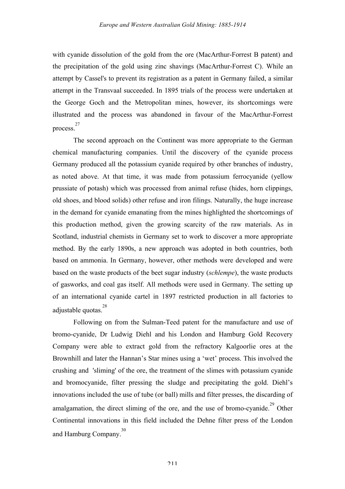with cyanide dissolution of the gold from the ore (MacArthur-Forrest B patent) and the precipitation of the gold using zinc shavings (MacArthur-Forrest C). While an attempt by Cassel's to prevent its registration as a patent in Germany failed, a similar attempt in the Transvaal succeeded. In 1895 trials of the process were undertaken at the George Goch and the Metropolitan mines, however, its shortcomings were illustrated and the process was abandoned in favour of the MacArthur-Forrest process. 27

The second approach on the Continent was more appropriate to the German chemical manufacturing companies. Until the discovery of the cyanide process Germany produced all the potassium cyanide required by other branches of industry, as noted above. At that time, it was made from potassium ferrocyanide (yellow prussiate of potash) which was processed from animal refuse (hides, horn clippings, old shoes, and blood solids) other refuse and iron filings. Naturally, the huge increase in the demand for cyanide emanating from the mines highlighted the shortcomings of this production method, given the growing scarcity of the raw materials. As in Scotland, industrial chemists in Germany set to work to discover a more appropriate method. By the early 1890s, a new approach was adopted in both countries, both based on ammonia. In Germany, however, other methods were developed and were based on the waste products of the beet sugar industry (*schlempe*), the waste products of gasworks, and coal gas itself. All methods were used in Germany. The setting up of an international cyanide cartel in 1897 restricted production in all factories to adjustable quotas. 28

Following on from the Sulman-Teed patent for the manufacture and use of bromo-cyanide, Dr Ludwig Diehl and his London and Hamburg Gold Recovery Company were able to extract gold from the refractory Kalgoorlie ores at the Brownhill and later the Hannan's Star mines using a 'wet' process. This involved the crushing and 'sliming' of the ore, the treatment of the slimes with potassium cyanide and bromocyanide, filter pressing the sludge and precipitating the gold. Diehl's innovations included the use of tube (or ball) mills and filter presses, the discarding of amalgamation, the direct sliming of the ore, and the use of bromo-cyanide.<sup>29</sup> Other Continental innovations in this field included the Dehne filter press of the London and Hamburg Company.<sup>30</sup>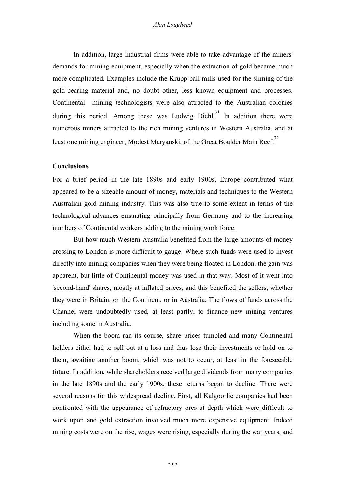#### *Alan Lougheed*

In addition, large industrial firms were able to take advantage of the miners' demands for mining equipment, especially when the extraction of gold became much more complicated. Examples include the Krupp ball mills used for the sliming of the gold-bearing material and, no doubt other, less known equipment and processes. Continental mining technologists were also attracted to the Australian colonies during this period. Among these was Ludwig Diehl.<sup>31</sup> In addition there were numerous miners attracted to the rich mining ventures in Western Australia, and at least one mining engineer, Modest Maryanski, of the Great Boulder Main Reef.<sup>32</sup>

### **Conclusions**

For a brief period in the late 1890s and early 1900s, Europe contributed what appeared to be a sizeable amount of money, materials and techniques to the Western Australian gold mining industry. This was also true to some extent in terms of the technological advances emanating principally from Germany and to the increasing numbers of Continental workers adding to the mining work force.

But how much Western Australia benefited from the large amounts of money crossing to London is more difficult to gauge. Where such funds were used to invest directly into mining companies when they were being floated in London, the gain was apparent, but little of Continental money was used in that way. Most of it went into 'second-hand' shares, mostly at inflated prices, and this benefited the sellers, whether they were in Britain, on the Continent, or in Australia. The flows of funds across the Channel were undoubtedly used, at least partly, to finance new mining ventures including some in Australia.

When the boom ran its course, share prices tumbled and many Continental holders either had to sell out at a loss and thus lose their investments or hold on to them, awaiting another boom, which was not to occur, at least in the foreseeable future. In addition, while shareholders received large dividends from many companies in the late 1890s and the early 1900s, these returns began to decline. There were several reasons for this widespread decline. First, all Kalgoorlie companies had been confronted with the appearance of refractory ores at depth which were difficult to work upon and gold extraction involved much more expensive equipment. Indeed mining costs were on the rise, wages were rising, especially during the war years, and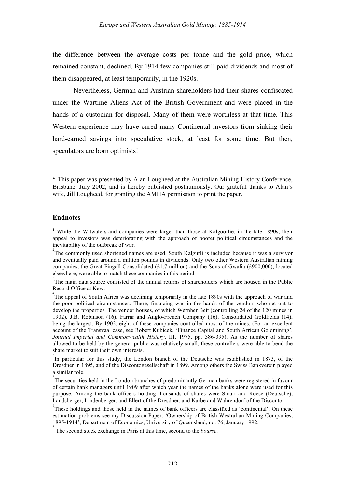the difference between the average costs per tonne and the gold price, which remained constant, declined. By 1914 few companies still paid dividends and most of them disappeared, at least temporarily, in the 1920s.

Nevertheless, German and Austrian shareholders had their shares confiscated under the Wartime Aliens Act of the British Government and were placed in the hands of a custodian for disposal. Many of them were worthless at that time. This Western experience may have cured many Continental investors from sinking their hard-earned savings into speculative stock, at least for some time. But then, speculators are born optimists!

\* This paper was presented by Alan Lougheed at the Australian Mining History Conference, Brisbane, July 2002, and is hereby published posthumously. Our grateful thanks to Alan's wife, Jill Lougheed, for granting the AMHA permission to print the paper.

#### **Endnotes**

1

<sup>5</sup>In particular for this study, the London branch of the Deutsche was established in 1873, of the Dresdner in 1895, and of the Discontogesellschaft in 1899. Among others the Swiss Bankverein played a similar role.

<sup>6</sup>The securities held in the London branches of predominantly German banks were registered in favour of certain bank managers until 1909 after which year the names of the banks alone were used for this purpose. Among the bank officers holding thousands of shares were Smart and Roese (Deutsche), Landsberger, Lindenberger, and Ellert of the Dresdner, and Karbe and Wahrendorf of the Disconto.

These holdings and those held in the names of bank officers are classified as 'continental'. On these estimation problems see my Discussion Paper: 'Ownership of British-Westralian Mining Companies, 1895-1914', Department of Economics, University of Queensland, no. 76, January 1992.

8 The second stock exchange in Paris at this time, second to the *bourse*.

<sup>&</sup>lt;sup>1</sup> While the Witwatersrand companies were larger than those at Kalgoorlie, in the late 1890s, their appeal to investors was deteriorating with the approach of poorer political circumstances and the inevitability of the outbreak of war. <sup>2</sup>

<sup>&</sup>lt;sup>2</sup>The commonly used shortened names are used. South Kalgurli is included because it was a survivor and eventually paid around a million pounds in dividends. Only two other Western Australian mining companies, the Great Fingall Consolidated  $(f1.7 \text{ million})$  and the Sons of Gwalia (£900,000), located elsewhere, were able to match these companies in this period.

<sup>&</sup>lt;sup>3</sup>The main data source consisted of the annual returns of shareholders which are housed in the Public Record Office at Kew.

<sup>&</sup>lt;sup>4</sup>The appeal of South Africa was declining temporarily in the late 1890s with the approach of war and the poor political circumstances. There, financing was in the hands of the vendors who set out to develop the properties. The vendor houses, of which Wernher Beit (controlling 24 of the 120 mines in 1902), J.B. Robinson (16), Farrar and Anglo-French Company (16), Consolidated Goldfields (14), being the largest. By 1902, eight of these companies controlled most of the mines. (For an excellent account of the Transvaal case, see Robert Kubicek, 'Finance Capital and South African Goldmining', *Journal Imperial and Commonwealth History*, III, 1975, pp. 386-395). As the number of shares allowed to be held by the general public was relatively small, these controllers were able to bend the share market to suit their own interests.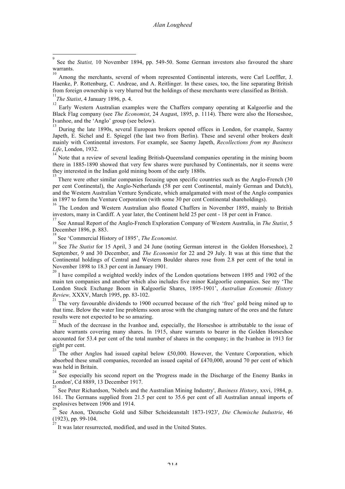Among the merchants, several of whom represented Continental interests, were Carl Loeffler, J. Haenke, P. Rottenburg, C. Andreae, and A. Reitlinger. In these cases, too, the line separating British from foreign ownership is very blurred but the holdings of these merchants were classified as British.

11 *The Statist*, 4 January 1896, p. 4.

12 Early Western Australian examples were the Chaffers company operating at Kalgoorlie and the Black Flag company (see *The Economist*, 24 August, 1895, p. 1114). There were also the Horseshoe, Ivanhoe, and the 'Anglo' group (see below).

13 During the late 1890s, several European brokers opened offices in London, for example, Saemy Japeth, E. Sichel and E. Spiegel (the last two from Berlin). These and several other brokers dealt mainly with Continental investors. For example, see Saemy Japeth, *Recollections from my Business Life*, London, 1932.

14 Note that a review of several leading British-Queensland companies operating in the mining boom there in 1885-1890 showed that very few shares were purchased by Continentals, nor it seems were they interested in the Indian gold mining boom of the early 1880s.

<sup>15</sup> There were other similar companies focusing upon specific countries such as the Anglo-French (30 per cent Continental), the Anglo-Netherlands (58 per cent Continental, mainly German and Dutch), and the Western Australian Venture Syndicate, which amalgamated with most of the Anglo companies in 1897 to form the Venture Corporation (with some 30 per cent Continental shareholdings).

The London and Western Australian also floated Chaffers in November 1895, mainly to British investors, many in Cardiff. A year later, the Continent held 25 per cent - 18 per cent in France.

17 See Annual Report of the Anglo-French Exploration Company of Western Australia, in *The Statist*, 5 December 1896, p. 883.

18 See 'Commercial History of 1895', *The Economist*.

19 See *The Statist* for 15 April, 3 and 24 June (noting German interest in the Golden Horseshoe), 2 September, 9 and 30 December, and *The Economist* for 22 and 29 July. It was at this time that the Continental holdings of Central and Western Boulder shares rose from 2.8 per cent of the total in November 1898 to 18.3 per cent in January 1901.

20 I have compiled a weighted weekly index of the London quotations between 1895 and 1902 of the main ten companies and another which also includes five minor Kalgoorlie companies. See my 'The London Stock Exchange Boom in Kalgoorlie Shares, 1895-1901', *Australian Economic History Review,* XXXV, March 1995, pp. 83-102. 21

The very favourable dividends to 1900 occurred because of the rich 'free' gold being mined up to that time. Below the water line problems soon arose with the changing nature of the ores and the future results were not expected to be so amazing.

Much of the decrease in the Ivanhoe and, especially, the Horseshoe is attributable to the issue of share warrants covering many shares. In 1915, share warrants to bearer in the Golden Horseshoe accounted for 53.4 per cent of the total number of shares in the company; in the Ivanhoe in 1913 for eight per cent.

23 The other Anglos had issued capital below £50,000. However, the Venture Corporation, which absorbed these small companies, recorded an issued capital of £470,000, around 70 per cent of which was held in Britain.

See especially his second report on the 'Progress made in the Discharge of the Enemy Banks in London', Cd 8889, 13 December 1917.

See Peter Richardson, 'Nobels and the Australian Mining Industry', *Business History*, xxvi, 1984, p. 161. The Germans supplied from 21.5 per cent to 35.6 per cent of all Australian annual imports of explosives between 1906 and 1914.

26 See Anon, 'Deutsche Gold und Silber Scheideanstalt 1873-1923', *Die Chemische Industrie*, 46 (1923), pp. 99-104. 27

It was later resurrected, modified, and used in the United States.

<sup>-&</sup>lt;br>9 See the *Statist,* 10 November 1894, pp. 549-50. Some German investors also favoured the share warrants. 10